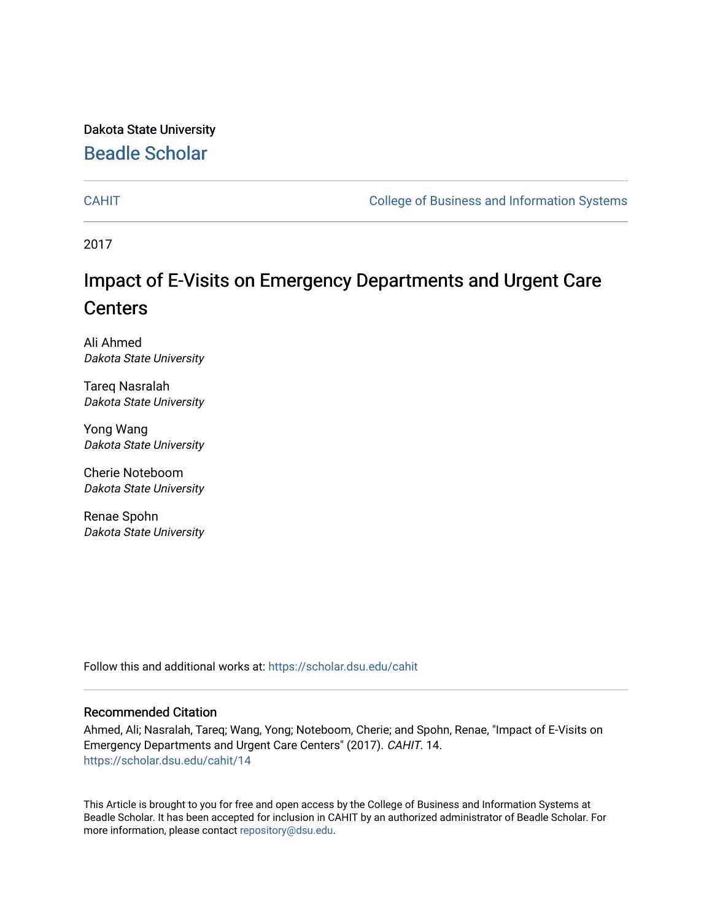Dakota State University [Beadle Scholar](https://scholar.dsu.edu/)

[CAHIT](https://scholar.dsu.edu/cahit) [College of Business and Information Systems](https://scholar.dsu.edu/biscollege) 

2017

# Impact of E-Visits on Emergency Departments and Urgent Care **Centers**

Ali Ahmed Dakota State University

Tareq Nasralah Dakota State University

Yong Wang Dakota State University

Cherie Noteboom Dakota State University

Renae Spohn Dakota State University

Follow this and additional works at: [https://scholar.dsu.edu/cahit](https://scholar.dsu.edu/cahit?utm_source=scholar.dsu.edu%2Fcahit%2F14&utm_medium=PDF&utm_campaign=PDFCoverPages) 

#### Recommended Citation

Ahmed, Ali; Nasralah, Tareq; Wang, Yong; Noteboom, Cherie; and Spohn, Renae, "Impact of E-Visits on Emergency Departments and Urgent Care Centers" (2017). CAHIT. 14. [https://scholar.dsu.edu/cahit/14](https://scholar.dsu.edu/cahit/14?utm_source=scholar.dsu.edu%2Fcahit%2F14&utm_medium=PDF&utm_campaign=PDFCoverPages) 

This Article is brought to you for free and open access by the College of Business and Information Systems at Beadle Scholar. It has been accepted for inclusion in CAHIT by an authorized administrator of Beadle Scholar. For more information, please contact [repository@dsu.edu.](mailto:repository@dsu.edu)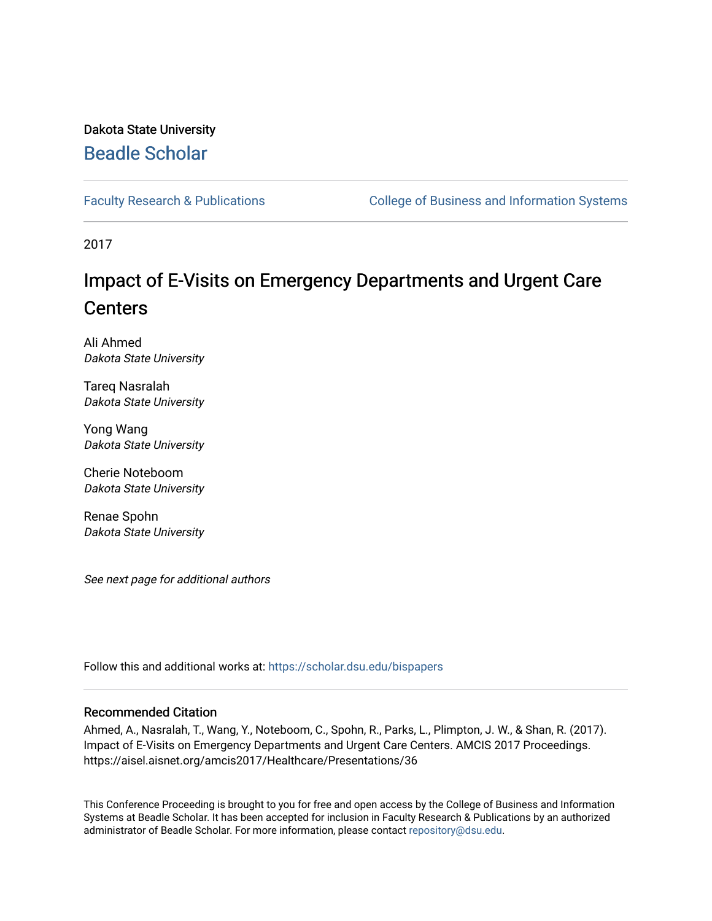# Dakota State University [Beadle Scholar](https://scholar.dsu.edu/)

[Faculty Research & Publications](https://scholar.dsu.edu/bispapers) **College of Business and Information Systems** 

2017

# Impact of E-Visits on Emergency Departments and Urgent Care **Centers**

Ali Ahmed Dakota State University

Tareq Nasralah Dakota State University

Yong Wang Dakota State University

Cherie Noteboom Dakota State University

Renae Spohn Dakota State University

See next page for additional authors

Follow this and additional works at: [https://scholar.dsu.edu/bispapers](https://scholar.dsu.edu/bispapers?utm_source=scholar.dsu.edu%2Fbispapers%2F98&utm_medium=PDF&utm_campaign=PDFCoverPages)

#### Recommended Citation

Ahmed, A., Nasralah, T., Wang, Y., Noteboom, C., Spohn, R., Parks, L., Plimpton, J. W., & Shan, R. (2017). Impact of E-Visits on Emergency Departments and Urgent Care Centers. AMCIS 2017 Proceedings. https://aisel.aisnet.org/amcis2017/Healthcare/Presentations/36

This Conference Proceeding is brought to you for free and open access by the College of Business and Information Systems at Beadle Scholar. It has been accepted for inclusion in Faculty Research & Publications by an authorized administrator of Beadle Scholar. For more information, please contact [repository@dsu.edu.](mailto:repository@dsu.edu)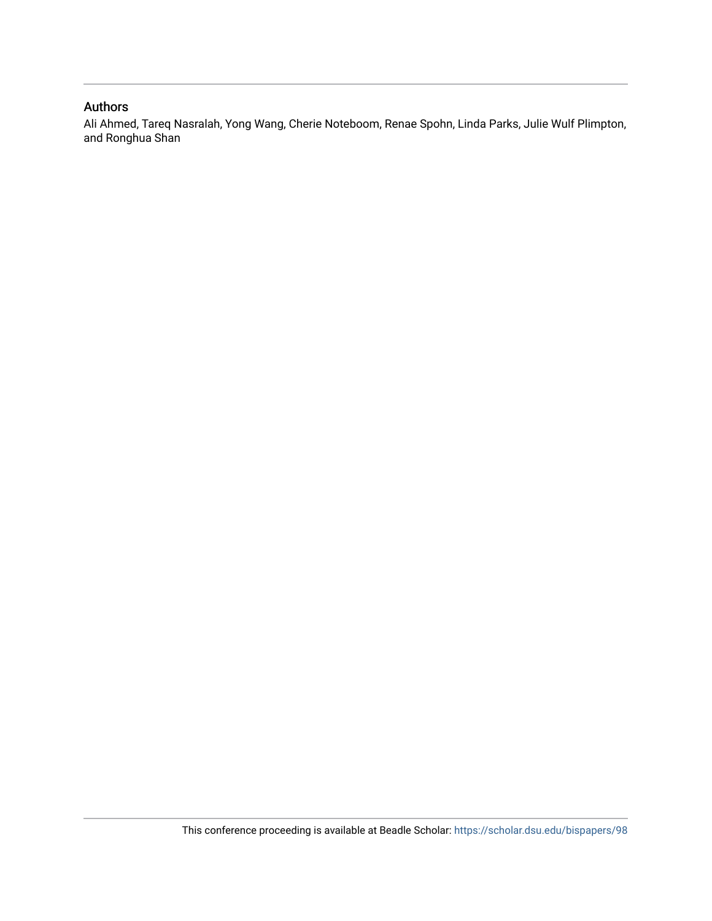### Authors

Ali Ahmed, Tareq Nasralah, Yong Wang, Cherie Noteboom, Renae Spohn, Linda Parks, Julie Wulf Plimpton, and Ronghua Shan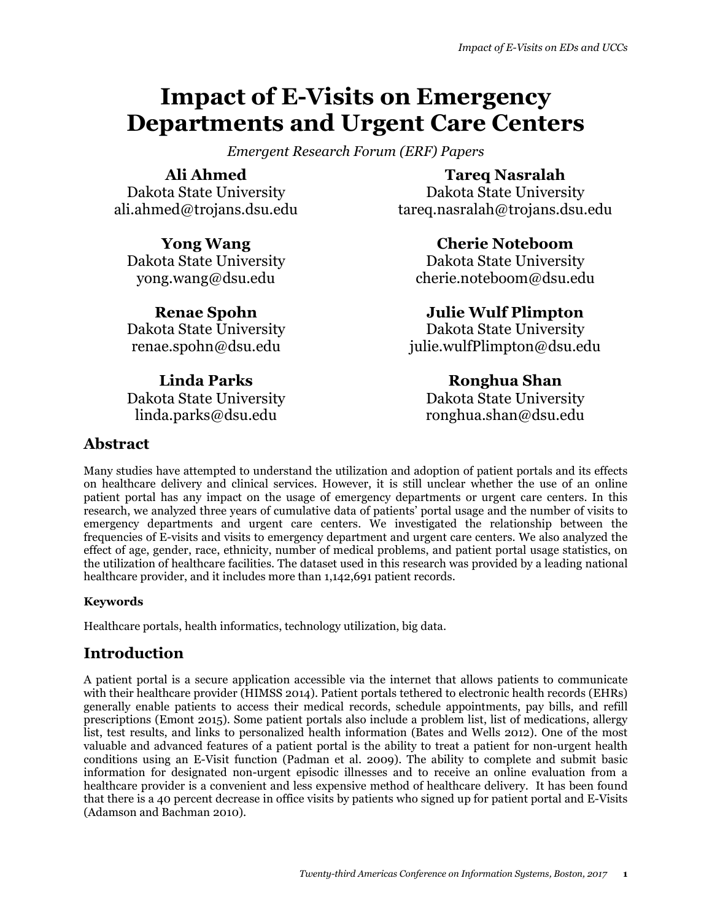# **Impact of E-Visits on Emergency Departments and Urgent Care Centers**

*Emergent Research Forum (ERF) Papers* 

**Ali Ahmed** Dakota State University ali.ahmed@trojans.dsu.edu

**Yong Wang** Dakota State University yong.wang@dsu.edu

**Renae Spohn** Dakota State University renae.spohn@dsu.edu

**Linda Parks** Dakota State University linda.parks@dsu.edu

**Tareq Nasralah**

Dakota State University tareq.nasralah@trojans.dsu.edu

> **Cherie Noteboom** Dakota State University

cherie.noteboom@dsu.edu

**Julie Wulf Plimpton** Dakota State University julie.wulfPlimpton@dsu.edu

# **Ronghua Shan**

Dakota State University ronghua.shan@dsu.edu

## **Abstract**

Many studies have attempted to understand the utilization and adoption of patient portals and its effects on healthcare delivery and clinical services. However, it is still unclear whether the use of an online patient portal has any impact on the usage of emergency departments or urgent care centers. In this research, we analyzed three years of cumulative data of patients' portal usage and the number of visits to emergency departments and urgent care centers. We investigated the relationship between the frequencies of E-visits and visits to emergency department and urgent care centers. We also analyzed the effect of age, gender, race, ethnicity, number of medical problems, and patient portal usage statistics, on the utilization of healthcare facilities. The dataset used in this research was provided by a leading national healthcare provider, and it includes more than 1,142,691 patient records.

## **Keywords**

Healthcare portals, health informatics, technology utilization, big data.

## **Introduction**

A patient portal is a secure application accessible via the internet that allows patients to communicate with their healthcare provider (HIMSS 2014). Patient portals tethered to electronic health records (EHRs) generally enable patients to access their medical records, schedule appointments, pay bills, and refill prescriptions (Emont 2015). Some patient portals also include a problem list, list of medications, allergy list, test results, and links to personalized health information (Bates and Wells 2012). One of the most valuable and advanced features of a patient portal is the ability to treat a patient for non-urgent health conditions using an E-Visit function (Padman et al. 2009). The ability to complete and submit basic information for designated non-urgent episodic illnesses and to receive an online evaluation from a healthcare provider is a convenient and less expensive method of healthcare delivery. It has been found that there is a 40 percent decrease in office visits by patients who signed up for patient portal and E-Visits (Adamson and Bachman 2010).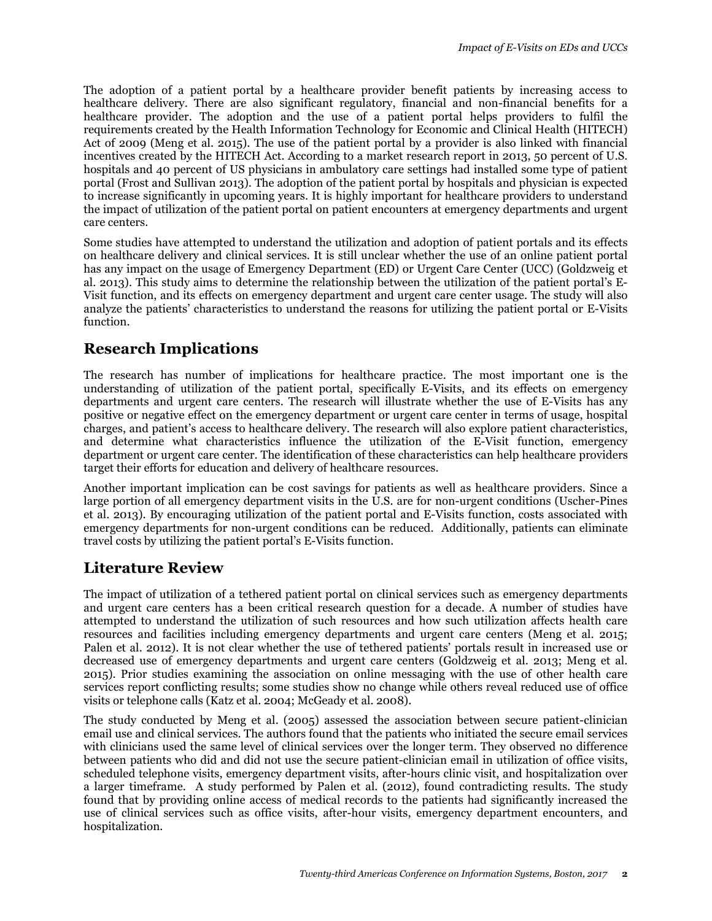The adoption of a patient portal by a healthcare provider benefit patients by increasing access to healthcare delivery. There are also significant regulatory, financial and non-financial benefits for a healthcare provider. The adoption and the use of a patient portal helps providers to fulfil the requirements created by the Health Information Technology for Economic and Clinical Health (HITECH) Act of 2009 (Meng et al. 2015). The use of the patient portal by a provider is also linked with financial incentives created by the HITECH Act. According to a market research report in 2013, 50 percent of U.S. hospitals and 40 percent of US physicians in ambulatory care settings had installed some type of patient portal (Frost and Sullivan 2013). The adoption of the patient portal by hospitals and physician is expected to increase significantly in upcoming years. It is highly important for healthcare providers to understand the impact of utilization of the patient portal on patient encounters at emergency departments and urgent care centers.

Some studies have attempted to understand the utilization and adoption of patient portals and its effects on healthcare delivery and clinical services. It is still unclear whether the use of an online patient portal has any impact on the usage of Emergency Department (ED) or Urgent Care Center (UCC) (Goldzweig et al. 2013). This study aims to determine the relationship between the utilization of the patient portal's E-Visit function, and its effects on emergency department and urgent care center usage. The study will also analyze the patients' characteristics to understand the reasons for utilizing the patient portal or E-Visits function.

## **Research Implications**

The research has number of implications for healthcare practice. The most important one is the understanding of utilization of the patient portal, specifically E-Visits, and its effects on emergency departments and urgent care centers. The research will illustrate whether the use of E-Visits has any positive or negative effect on the emergency department or urgent care center in terms of usage, hospital charges, and patient's access to healthcare delivery. The research will also explore patient characteristics, and determine what characteristics influence the utilization of the E-Visit function, emergency department or urgent care center. The identification of these characteristics can help healthcare providers target their efforts for education and delivery of healthcare resources.

Another important implication can be cost savings for patients as well as healthcare providers. Since a large portion of all emergency department visits in the U.S. are for non-urgent conditions (Uscher-Pines et al. 2013). By encouraging utilization of the patient portal and E-Visits function, costs associated with emergency departments for non-urgent conditions can be reduced. Additionally, patients can eliminate travel costs by utilizing the patient portal's E-Visits function.

## **Literature Review**

The impact of utilization of a tethered patient portal on clinical services such as emergency departments and urgent care centers has a been critical research question for a decade. A number of studies have attempted to understand the utilization of such resources and how such utilization affects health care resources and facilities including emergency departments and urgent care centers (Meng et al. 2015; Palen et al. 2012). It is not clear whether the use of tethered patients' portals result in increased use or decreased use of emergency departments and urgent care centers (Goldzweig et al. 2013; Meng et al. 2015). Prior studies examining the association on online messaging with the use of other health care services report conflicting results; some studies show no change while others reveal reduced use of office visits or telephone calls (Katz et al. 2004; McGeady et al. 2008).

The study conducted by Meng et al. (2005) assessed the association between secure patient-clinician email use and clinical services. The authors found that the patients who initiated the secure email services with clinicians used the same level of clinical services over the longer term. They observed no difference between patients who did and did not use the secure patient-clinician email in utilization of office visits, scheduled telephone visits, emergency department visits, after-hours clinic visit, and hospitalization over a larger timeframe. A study performed by Palen et al. (2012), found contradicting results. The study found that by providing online access of medical records to the patients had significantly increased the use of clinical services such as office visits, after-hour visits, emergency department encounters, and hospitalization.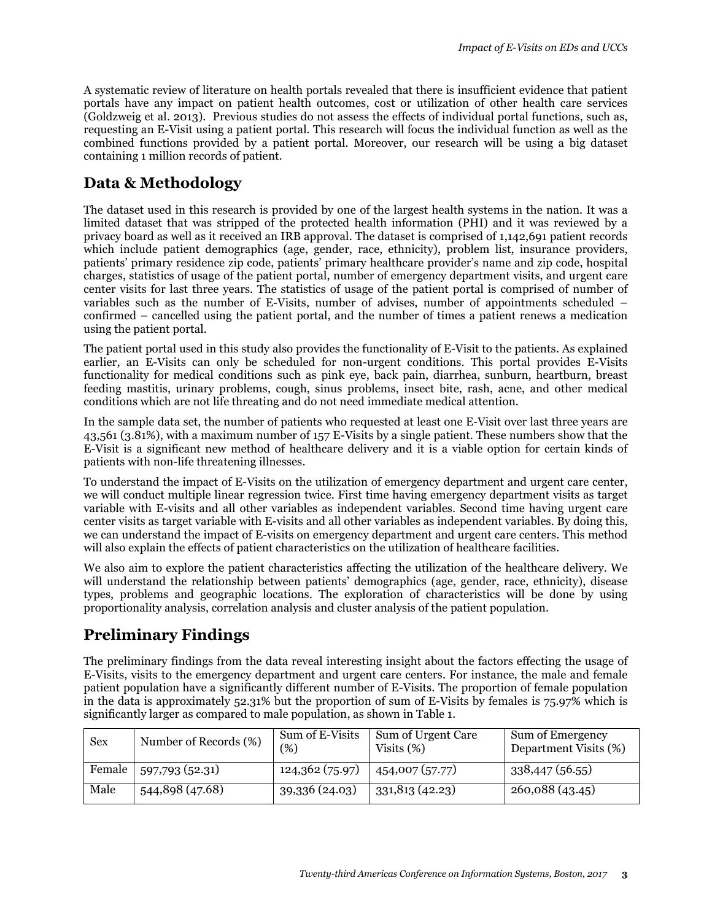A systematic review of literature on health portals revealed that there is insufficient evidence that patient portals have any impact on patient health outcomes, cost or utilization of other health care services (Goldzweig et al. 2013). Previous studies do not assess the effects of individual portal functions, such as, requesting an E-Visit using a patient portal. This research will focus the individual function as well as the combined functions provided by a patient portal. Moreover, our research will be using a big dataset containing 1 million records of patient.

## **Data & Methodology**

The dataset used in this research is provided by one of the largest health systems in the nation. It was a limited dataset that was stripped of the protected health information (PHI) and it was reviewed by a privacy board as well as it received an IRB approval. The dataset is comprised of 1,142,691 patient records which include patient demographics (age, gender, race, ethnicity), problem list, insurance providers, patients' primary residence zip code, patients' primary healthcare provider's name and zip code, hospital charges, statistics of usage of the patient portal, number of emergency department visits, and urgent care center visits for last three years. The statistics of usage of the patient portal is comprised of number of variables such as the number of E-Visits, number of advises, number of appointments scheduled – confirmed – cancelled using the patient portal, and the number of times a patient renews a medication using the patient portal.

The patient portal used in this study also provides the functionality of E-Visit to the patients. As explained earlier, an E-Visits can only be scheduled for non-urgent conditions. This portal provides E-Visits functionality for medical conditions such as pink eye, back pain, diarrhea, sunburn, heartburn, breast feeding mastitis, urinary problems, cough, sinus problems, insect bite, rash, acne, and other medical conditions which are not life threating and do not need immediate medical attention.

In the sample data set, the number of patients who requested at least one E-Visit over last three years are 43,561 (3.81%), with a maximum number of 157 E-Visits by a single patient. These numbers show that the E-Visit is a significant new method of healthcare delivery and it is a viable option for certain kinds of patients with non-life threatening illnesses.

To understand the impact of E-Visits on the utilization of emergency department and urgent care center, we will conduct multiple linear regression twice. First time having emergency department visits as target variable with E-visits and all other variables as independent variables. Second time having urgent care center visits as target variable with E-visits and all other variables as independent variables. By doing this, we can understand the impact of E-visits on emergency department and urgent care centers. This method will also explain the effects of patient characteristics on the utilization of healthcare facilities.

We also aim to explore the patient characteristics affecting the utilization of the healthcare delivery. We will understand the relationship between patients' demographics (age, gender, race, ethnicity), disease types, problems and geographic locations. The exploration of characteristics will be done by using proportionality analysis, correlation analysis and cluster analysis of the patient population.

# **Preliminary Findings**

The preliminary findings from the data reveal interesting insight about the factors effecting the usage of E-Visits, visits to the emergency department and urgent care centers. For instance, the male and female patient population have a significantly different number of E-Visits. The proportion of female population in the data is approximately 52.31% but the proportion of sum of E-Visits by females is 75.97% which is significantly larger as compared to male population, as shown in Table 1.

| Sex    | Number of Records (%) | Sum of E-Visits<br>$(\%)$ | Sum of Urgent Care<br>Visits $(\%)$ | Sum of Emergency<br>Department Visits (%) |
|--------|-----------------------|---------------------------|-------------------------------------|-------------------------------------------|
| Female | 597,793 (52.31)       | 124,362 (75.97)           | 454,007 (57.77)                     | 338,447 (56.55)                           |
| Male   | 544,898 (47.68)       | 39,336 (24.03)            | 331,813 (42.23)                     | 260,088 (43.45)                           |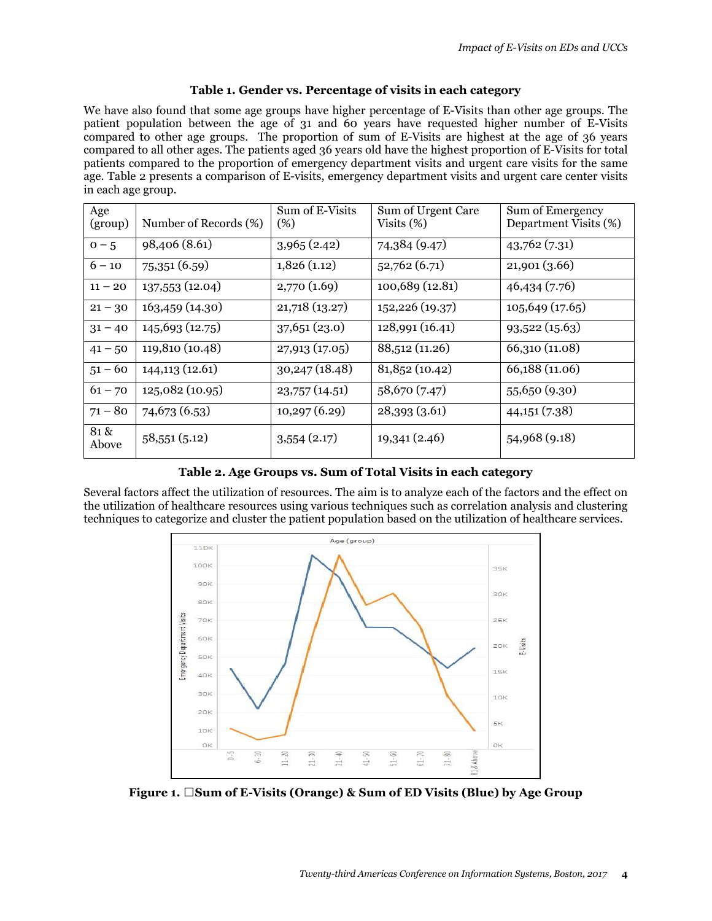#### **Table 1. Gender vs. Percentage of visits in each category**

We have also found that some age groups have higher percentage of E-Visits than other age groups. The patient population between the age of 31 and 60 years have requested higher number of E-Visits compared to other age groups. The proportion of sum of E-Visits are highest at the age of 36 years compared to all other ages. The patients aged 36 years old have the highest proportion of E-Visits for total patients compared to the proportion of emergency department visits and urgent care visits for the same age. Table 2 presents a comparison of E-visits, emergency department visits and urgent care center visits in each age group.

| Age<br>(group) | Number of Records (%) | Sum of E-Visits<br>(%) | Sum of Urgent Care<br>Visits $(\%)$ | Sum of Emergency<br>Department Visits (%) |
|----------------|-----------------------|------------------------|-------------------------------------|-------------------------------------------|
| $0-5$          | 98,406 (8.61)         | 3,965(2.42)            | 74,384 (9.47)                       | 43,762(7.31)                              |
| $6 - 10$       | 75,351 (6.59)         | 1,826(1.12)            | 52,762(6.71)                        | 21,901(3.66)                              |
| $11 - 20$      | 137,553 (12.04)       | 2,770(1.69)            | 100,689 (12.81)                     | 46,434(7.76)                              |
| $21 - 30$      | 163,459 (14.30)       | 21,718 (13.27)         | 152,226 (19.37)                     | 105,649(17.65)                            |
| $31 - 40$      | 145,693 (12.75)       | 37,651(23.0)           | 128,991 (16.41)                     | 93,522(15.63)                             |
| $41 - 50$      | 119,810 (10.48)       | 27,913(17.05)          | 88,512 (11.26)                      | 66,310 (11.08)                            |
| $51 - 60$      | 144,113 (12.61)       | 30, 247 (18.48)        | 81,852(10.42)                       | 66,188 (11.06)                            |
| $61 - 70$      | 125,082 (10.95)       | 23,757(14.51)          | 58,670 (7.47)                       | 55,650 (9.30)                             |
| $71 - 80$      | 74,673 (6.53)         | 10,297(6.29)           | 28,393(3.61)                        | 44,151(7.38)                              |
| 81 &<br>Above  | 58,551(5.12)          | 3,554(2.17)            | 19,341(2.46)                        | 54,968 (9.18)                             |

**Table 2. Age Groups vs. Sum of Total Visits in each category**

Several factors affect the utilization of resources. The aim is to analyze each of the factors and the effect on the utilization of healthcare resources using various techniques such as correlation analysis and clustering techniques to categorize and cluster the patient population based on the utilization of healthcare services.



Figure 1. 4 Sum of E-Visits (Orange) & Sum of ED Visits (Blue) by Age Group